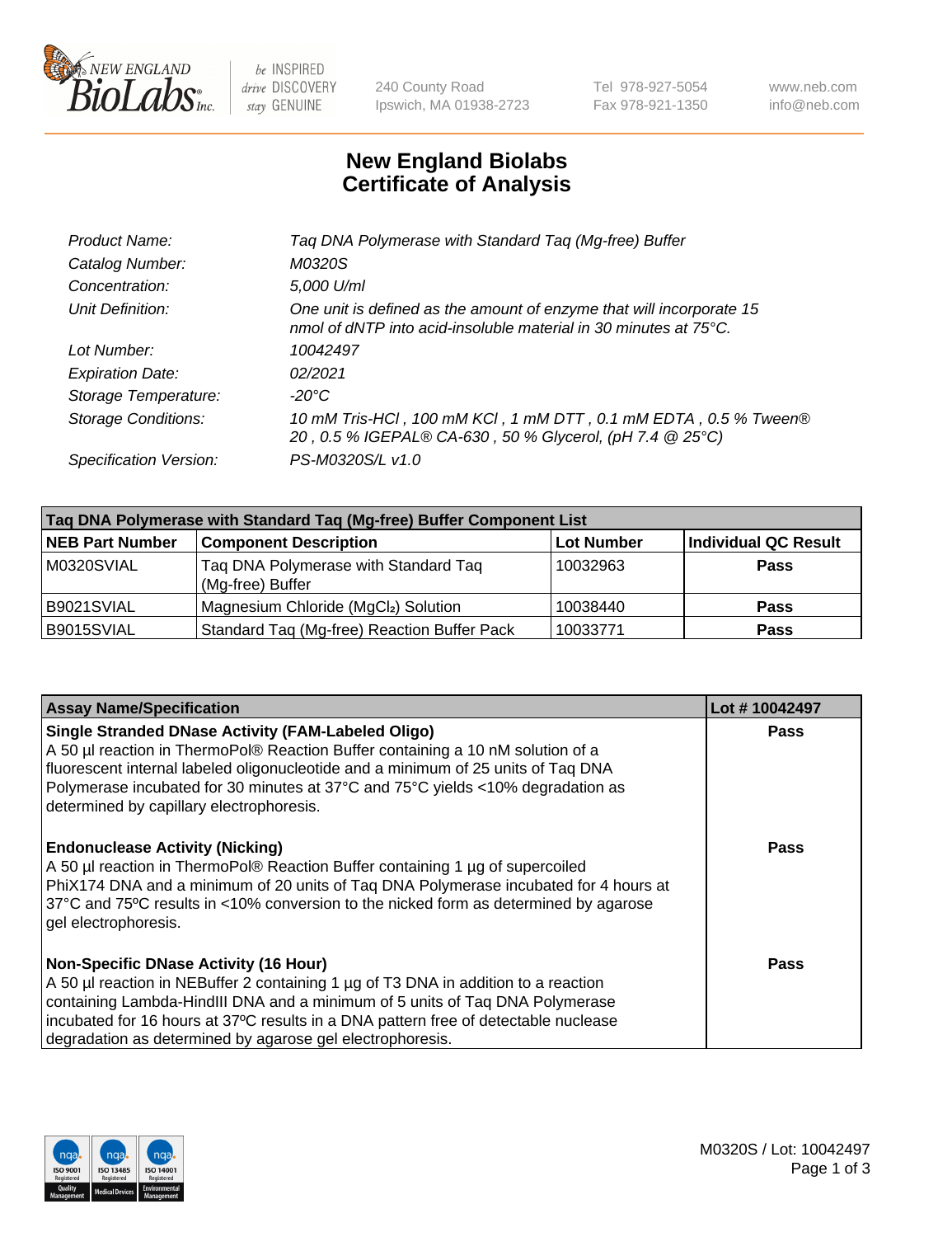

 $be$  INSPIRED drive DISCOVERY stay GENUINE

240 County Road Ipswich, MA 01938-2723 Tel 978-927-5054 Fax 978-921-1350 www.neb.com info@neb.com

## **New England Biolabs Certificate of Analysis**

| Taq DNA Polymerase with Standard Taq (Mg-free) Buffer                                                                                              |
|----------------------------------------------------------------------------------------------------------------------------------------------------|
| M0320S                                                                                                                                             |
| 5,000 U/ml                                                                                                                                         |
| One unit is defined as the amount of enzyme that will incorporate 15<br>nmol of dNTP into acid-insoluble material in 30 minutes at $75^{\circ}$ C. |
| 10042497                                                                                                                                           |
| 02/2021                                                                                                                                            |
| $-20^{\circ}$ C                                                                                                                                    |
| 10 mM Tris-HCl, 100 mM KCl, 1 mM DTT, 0.1 mM EDTA, 0.5 % Tween®<br>20, 0.5 % IGEPAL® CA-630, 50 % Glycerol, (pH 7.4 @ 25°C)                        |
| PS-M0320S/L v1.0                                                                                                                                   |
|                                                                                                                                                    |

| Tag DNA Polymerase with Standard Tag (Mg-free) Buffer Component List |                                                          |                   |                             |  |  |
|----------------------------------------------------------------------|----------------------------------------------------------|-------------------|-----------------------------|--|--|
| <b>NEB Part Number</b>                                               | <b>Component Description</b>                             | <b>Lot Number</b> | <b>Individual QC Result</b> |  |  |
| M0320SVIAL                                                           | Tag DNA Polymerase with Standard Tag<br>(Mg-free) Buffer | 10032963          | Pass                        |  |  |
| B9021SVIAL                                                           | Magnesium Chloride (MgCl2) Solution                      | 10038440          | Pass                        |  |  |
| B9015SVIAL                                                           | Standard Taq (Mg-free) Reaction Buffer Pack              | 10033771          | <b>Pass</b>                 |  |  |

| <b>Assay Name/Specification</b>                                                                                                                                                                                                                                                                                                                                        | Lot #10042497 |
|------------------------------------------------------------------------------------------------------------------------------------------------------------------------------------------------------------------------------------------------------------------------------------------------------------------------------------------------------------------------|---------------|
| <b>Single Stranded DNase Activity (FAM-Labeled Oligo)</b><br>A 50 µl reaction in ThermoPol® Reaction Buffer containing a 10 nM solution of a<br>fluorescent internal labeled oligonucleotide and a minimum of 25 units of Taq DNA<br>Polymerase incubated for 30 minutes at 37°C and 75°C yields <10% degradation as<br>determined by capillary electrophoresis.       | <b>Pass</b>   |
| <b>Endonuclease Activity (Nicking)</b><br>A 50 µl reaction in ThermoPol® Reaction Buffer containing 1 µg of supercoiled<br>PhiX174 DNA and a minimum of 20 units of Taq DNA Polymerase incubated for 4 hours at<br>37°C and 75°C results in <10% conversion to the nicked form as determined by agarose<br>gel electrophoresis.                                        | Pass          |
| <b>Non-Specific DNase Activity (16 Hour)</b><br>A 50 µl reaction in NEBuffer 2 containing 1 µg of T3 DNA in addition to a reaction<br>containing Lambda-HindIII DNA and a minimum of 5 units of Taq DNA Polymerase<br>incubated for 16 hours at 37°C results in a DNA pattern free of detectable nuclease<br>degradation as determined by agarose gel electrophoresis. | Pass          |

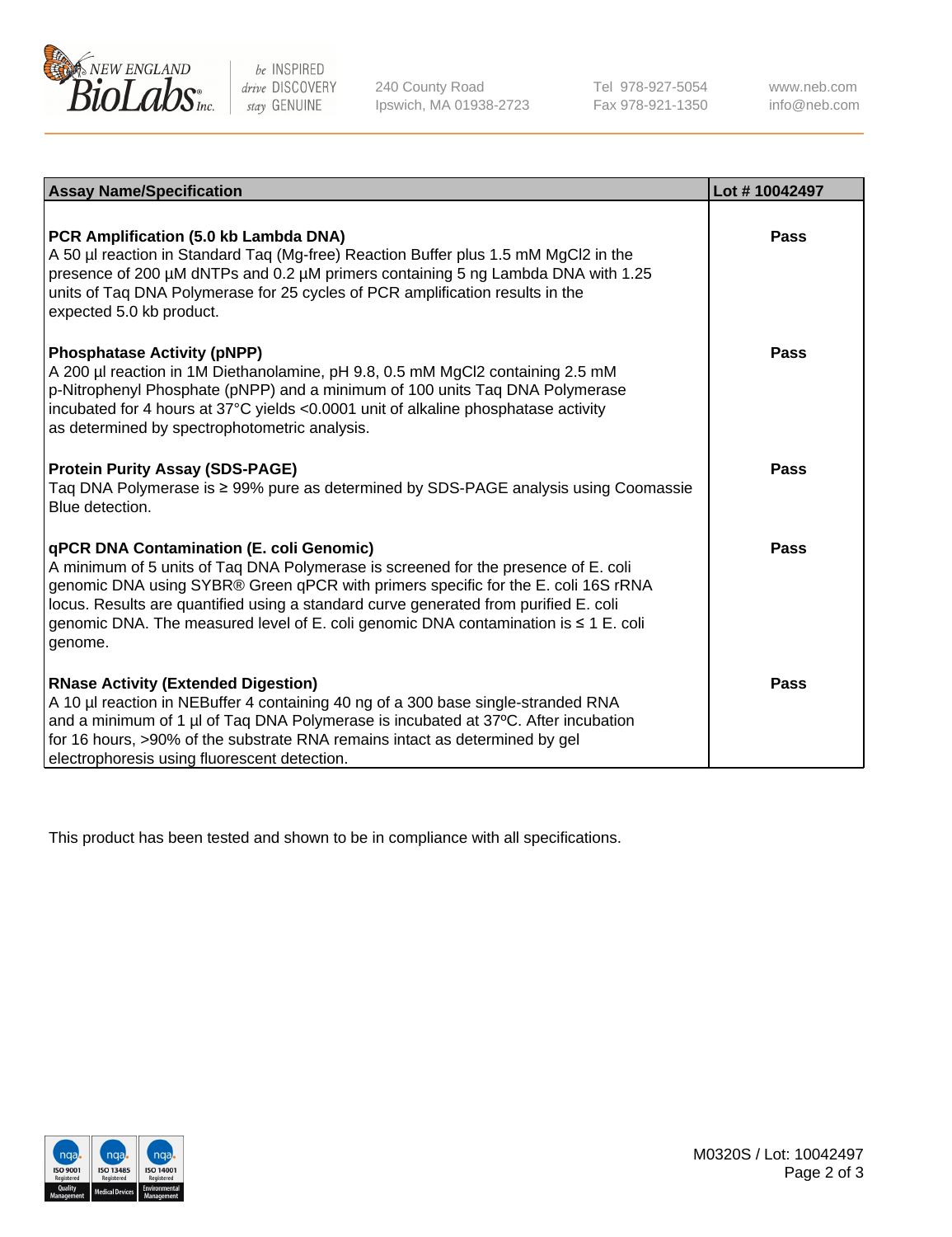

 $be$  INSPIRED drive DISCOVERY stay GENUINE

240 County Road Ipswich, MA 01938-2723 Tel 978-927-5054 Fax 978-921-1350 www.neb.com info@neb.com

| <b>Assay Name/Specification</b>                                                                                                                                                                                                                                                                                                                                                                               | Lot #10042497 |
|---------------------------------------------------------------------------------------------------------------------------------------------------------------------------------------------------------------------------------------------------------------------------------------------------------------------------------------------------------------------------------------------------------------|---------------|
| PCR Amplification (5.0 kb Lambda DNA)<br>A 50 µl reaction in Standard Taq (Mg-free) Reaction Buffer plus 1.5 mM MgCl2 in the<br>presence of 200 µM dNTPs and 0.2 µM primers containing 5 ng Lambda DNA with 1.25<br>units of Taq DNA Polymerase for 25 cycles of PCR amplification results in the<br>expected 5.0 kb product.                                                                                 | Pass          |
| <b>Phosphatase Activity (pNPP)</b><br>A 200 µl reaction in 1M Diethanolamine, pH 9.8, 0.5 mM MgCl2 containing 2.5 mM<br>p-Nitrophenyl Phosphate (pNPP) and a minimum of 100 units Taq DNA Polymerase<br>incubated for 4 hours at 37°C yields <0.0001 unit of alkaline phosphatase activity<br>as determined by spectrophotometric analysis.                                                                   | Pass          |
| <b>Protein Purity Assay (SDS-PAGE)</b><br>Taq DNA Polymerase is ≥ 99% pure as determined by SDS-PAGE analysis using Coomassie<br>Blue detection.                                                                                                                                                                                                                                                              | Pass          |
| qPCR DNA Contamination (E. coli Genomic)<br>A minimum of 5 units of Taq DNA Polymerase is screened for the presence of E. coli<br>genomic DNA using SYBR® Green qPCR with primers specific for the E. coli 16S rRNA<br>locus. Results are quantified using a standard curve generated from purified E. coli<br>genomic DNA. The measured level of E. coli genomic DNA contamination is ≤ 1 E. coli<br>genome. | Pass          |
| <b>RNase Activity (Extended Digestion)</b><br>A 10 µl reaction in NEBuffer 4 containing 40 ng of a 300 base single-stranded RNA<br>and a minimum of 1 µl of Taq DNA Polymerase is incubated at 37°C. After incubation<br>for 16 hours, >90% of the substrate RNA remains intact as determined by gel<br>electrophoresis using fluorescent detection.                                                          | Pass          |

This product has been tested and shown to be in compliance with all specifications.